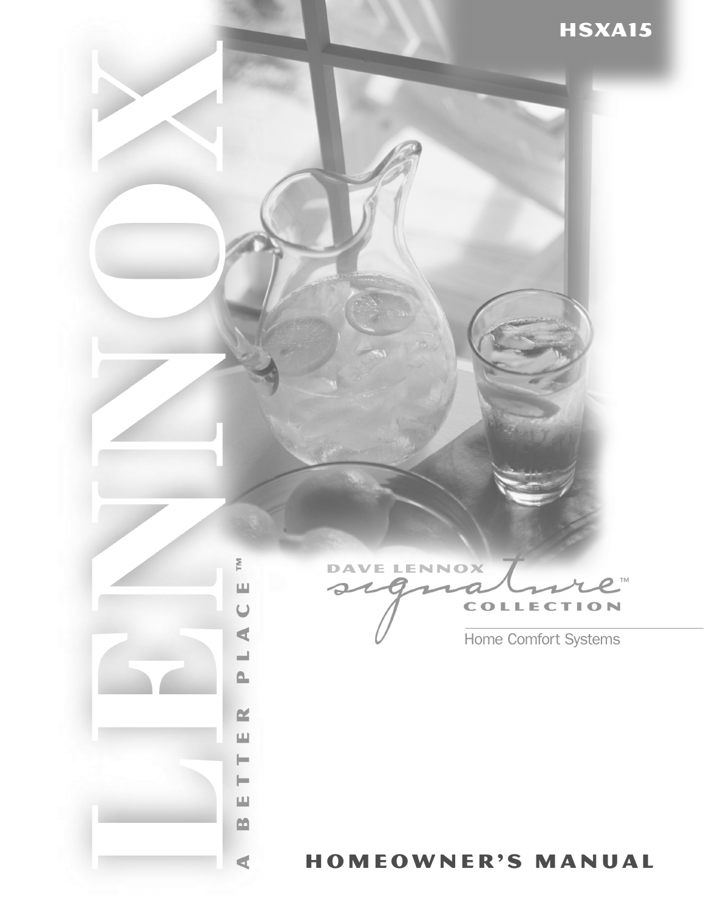

**DAVE LENNOX** TM  $\Omega$ **COLLECTION** 

Home Comfort Systems

# homeowner's manual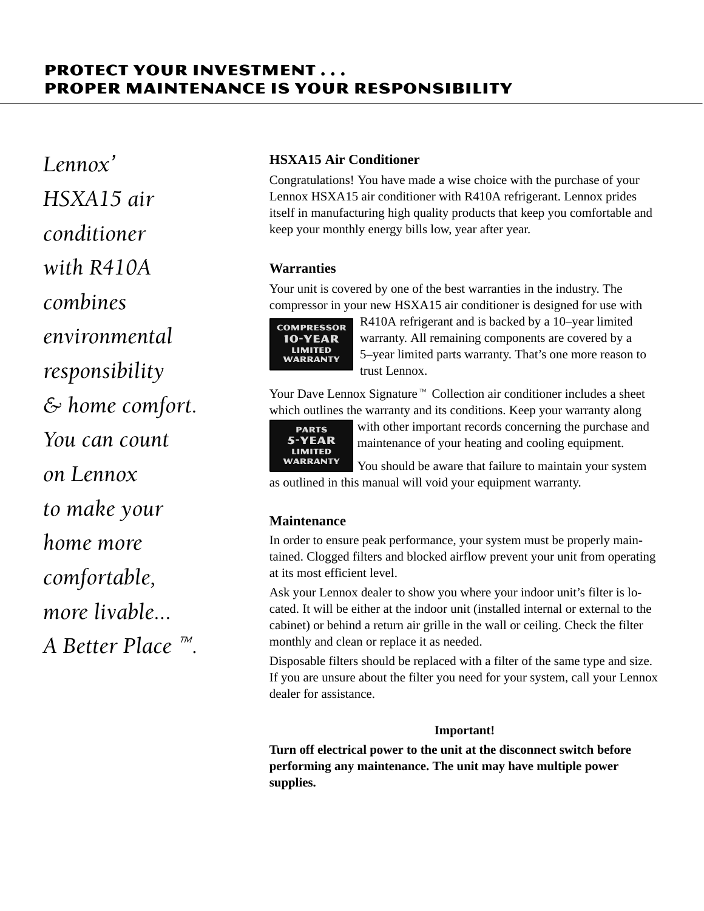## **PROTECT YOUR INVESTMENT...** PROPER MAINTENANCE IS YOUR RESPONSIBILITY

Lennox' HSXA15 air <u>conditioner</u> with R410A combines environmental responsibility  $\mathcal E$  home comfort. You can count on Lennox to make your home more comfortable, more livable... A Better Place  $\mathbb{R}$ .

### **HSXA15 Air Conditioner**

Congratulations! You have made a wise choice with the purchase of your Lennox HSXA15 air conditioner with R410A refrigerant. Lennox prides itself in manufacturing high quality products that keep you comfortable and keep your monthly energy bills low, year after year.

### **Warranties**

Your unit is covered by one of the best warranties in the industry. The compressor in your new HSXA15 air conditioner is designed for use with



R410A refrigerant and is backed by a 10–year limited warranty. All remaining components are covered by a 5–year limited parts warranty. That's one more reason to trust Lennox.

Your Dave Lennox Signature  $\mathbb{N}$  Collection air conditioner includes a sheet which outlines the warranty and its conditions. Keep your warranty along



with other important records concerning the purchase and maintenance of your heating and cooling equipment.

You should be aware that failure to maintain your system as outlined in this manual will void your equipment warranty.

### **Maintenance**

In order to ensure peak performance, your system must be properly maintained. Clogged filters and blocked airflow prevent your unit from operating at its most efficient level.

Ask your Lennox dealer to show you where your indoor unit's filter is located. It will be either at the indoor unit (installed internal or external to the cabinet) or behind a return air grille in the wall or ceiling. Check the filter monthly and clean or replace it as needed.

Disposable filters should be replaced with a filter of the same type and size. If you are unsure about the filter you need for your system, call your Lennox dealer for assistance.

### **Important!**

**Turn off electrical power to the unit at the disconnect switch before performing any maintenance. The unit may have multiple power supplies.**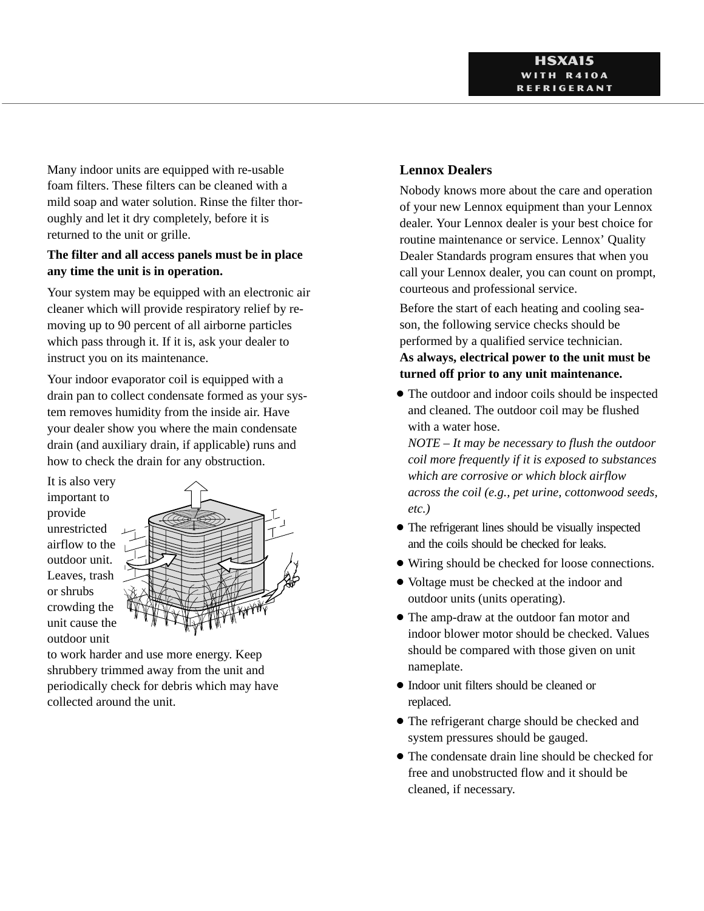Many indoor units are equipped with re-usable foam filters. These filters can be cleaned with a mild soap and water solution. Rinse the filter thoroughly and let it dry completely, before it is returned to the unit or grille.

### **The filter and all access panels must be in place any time the unit is in operation.**

Your system may be equipped with an electronic air cleaner which will provide respiratory relief by removing up to 90 percent of all airborne particles which pass through it. If it is, ask your dealer to instruct you on its maintenance.

Your indoor evaporator coil is equipped with a drain pan to collect condensate formed as your system removes humidity from the inside air. Have your dealer show you where the main condensate drain (and auxiliary drain, if applicable) runs and how to check the drain for any obstruction.

It is also very important to provide unrestricted airflow to the outdoor unit. Leaves, trash or shrubs crowding the unit cause the outdoor unit



to work harder and use more energy. Keep shrubbery trimmed away from the unit and periodically check for debris which may have collected around the unit.

### **Lennox Dealers**

Nobody knows more about the care and operation of your new Lennox equipment than your Lennox dealer. Your Lennox dealer is your best choice for routine maintenance or service. Lennox' Quality Dealer Standards program ensures that when you call your Lennox dealer, you can count on prompt, courteous and professional service.

Before the start of each heating and cooling season, the following service checks should be performed by a qualified service technician. **As always, electrical power to the unit must be turned off prior to any unit maintenance.**

- The outdoor and indoor coils should be inspected and cleaned. The outdoor coil may be flushed with a water hose.

*NOTE – It may be necessary to flush the outdoor coil more frequently if it is exposed to substances which are corrosive or which block airflow across the coil (e.g., pet urine, cottonwood seeds, etc.)*

- The refrigerant lines should be visually inspected and the coils should be checked for leaks.
- Wiring should be checked for loose connections.
- Voltage must be checked at the indoor and outdoor units (units operating).
- The amp-draw at the outdoor fan motor and indoor blower motor should be checked. Values should be compared with those given on unit nameplate.
- Indoor unit filters should be cleaned or replaced.
- The refrigerant charge should be checked and system pressures should be gauged.
- The condensate drain line should be checked for free and unobstructed flow and it should be cleaned, if necessary.